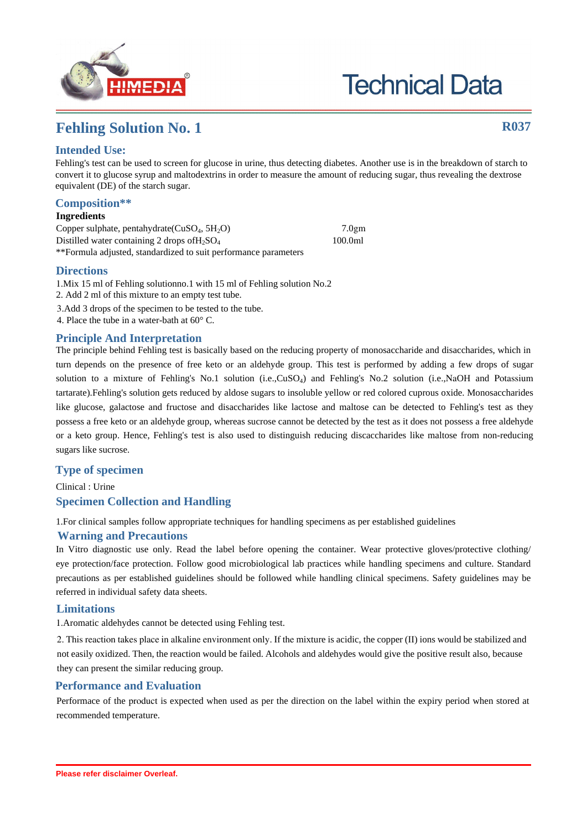

# **Technical Data**

## **Fehling Solution No. 1 R037**

## **Intended Use:**

Fehling's test can be used to screen for glucose in urine, thus detecting diabetes. Another use is in the breakdown of starch to convert it to glucose syrup and maltodextrins in order to measure the amount of reducing sugar, thus revealing the dextrose equivalent (DE) of the starch sugar.

## **Composition\*\***

#### **Ingredients**

Copper sulphate, pentahydrate( $CuSO<sub>4</sub>$ ,  $5H<sub>2</sub>O$ ) 7.0gm Distilled water containing 2 drops of H<sub>2</sub>SO<sub>4</sub> 100.0ml \*\*Formula adjusted, standardized to suit performance parameters

### **Directions**

1.Mix 15 ml of Fehling solutionno.1 with 15 ml of Fehling solution No.2 2. Add 2 ml of this mixture to an empty test tube. 3.Add 3 drops of the specimen to be tested to the tube. 4. Place the tube in a water-bath at 60° C.

## **Principle And Interpretation**

The principle behind Fehling test is basically based on the reducing property of monosaccharide and disaccharides, which in turn depends on the presence of free keto or an aldehyde group. This test is performed by adding a few drops of sugar solution to a mixture of Fehling's No.1 solution (i.e.,CuSO<sub>4</sub>) and Fehling's No.2 solution (i.e.,NaOH and Potassium tartarate).Fehling's solution gets reduced by aldose sugars to insoluble yellow or red colored cuprous oxide. Monosaccharides like glucose, galactose and fructose and disaccharides like lactose and maltose can be detected to Fehling's test as they possess a free keto or an aldehyde group, whereas sucrose cannot be detected by the test as it does not possess a free aldehyde or a keto group. Hence, Fehling's test is also used to distinguish reducing discaccharides like maltose from non-reducing sugars like sucrose.

## **Type of specimen**

Clinical : Urine **Specimen Collection and Handling**

1.For clinical samples follow appropriate techniques for handling specimens as per established guidelines

#### **Warning and Precautions**

In Vitro diagnostic use only. Read the label before opening the container. Wear protective gloves/protective clothing/ eye protection/face protection. Follow good microbiological lab practices while handling specimens and culture. Standard precautions as per established guidelines should be followed while handling clinical specimens. Safety guidelines may be referred in individual safety data sheets.

#### **Limitations**

1.Aromatic aldehydes cannot be detected using Fehling test.

2. This reaction takes place in alkaline environment only. If the mixture is acidic, the copper (II) ions would be stabilized and not easily oxidized. Then, the reaction would be failed. Alcohols and aldehydes would give the positive result also, because they can present the similar reducing group.

## **Performance and Evaluation**

Performace of the product is expected when used as per the direction on the label within the expiry period when stored at recommended temperature.